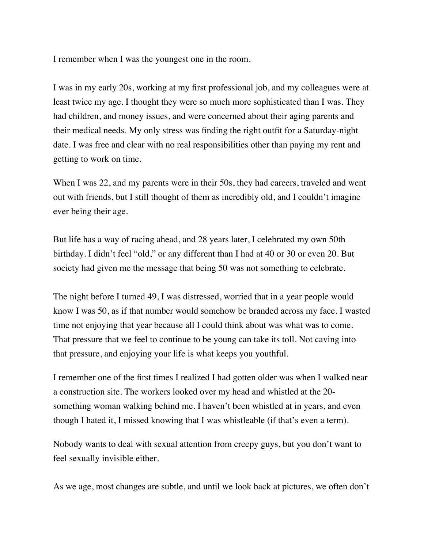I remember when I was the youngest one in the room.

I was in my early 20s, working at my first professional job, and my colleagues were at least twice my age. I thought they were so much more sophisticated than I was. They had children, and money issues, and were concerned about their aging parents and their medical needs. My only stress was finding the right outfit for a Saturday-night date. I was free and clear with no real responsibilities other than paying my rent and getting to work on time.

When I was 22, and my parents were in their 50s, they had careers, traveled and went out with friends, but I still thought of them as incredibly old, and I couldn't imagine ever being their age.

But life has a way of racing ahead, and 28 years later, I celebrated my own 50th birthday. I didn't feel "old," or any different than I had at 40 or 30 or even 20. But society had given me the message that being 50 was not something to celebrate.

The night before I turned 49, I was distressed, worried that in a year people would know I was 50, as if that number would somehow be branded across my face. I wasted time not enjoying that year because all I could think about was what was to come. That pressure that we feel to continue to be young can take its toll. Not caving into that pressure, and enjoying your life is what keeps you youthful.

I remember one of the first times I realized I had gotten older was when I walked near a construction site. The workers looked over my head and whistled at the 20 something woman walking behind me. I haven't been whistled at in years, and even though I hated it, I missed knowing that I was whistleable (if that's even a term).

Nobody wants to deal with sexual attention from creepy guys, but you don't want to feel sexually invisible either.

As we age, most changes are subtle, and until we look back at pictures, we often don't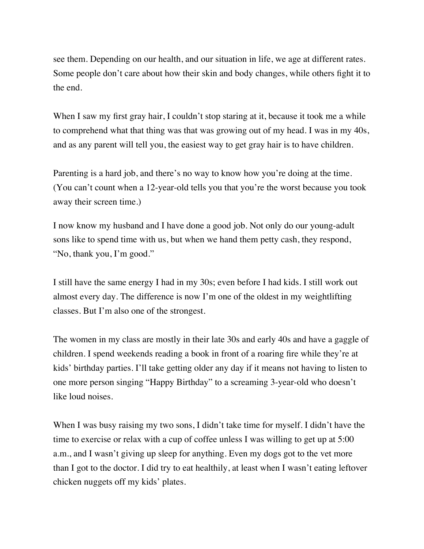see them. Depending on our health, and our situation in life, we age at different rates. Some people don't care about how their skin and body changes, while others fight it to the end.

When I saw my first gray hair, I couldn't stop staring at it, because it took me a while to comprehend what that thing was that was growing out of my head. I was in my 40s, and as any parent will tell you, the easiest way to get gray hair is to have children.

Parenting is a hard job, and there's no way to know how you're doing at the time. (You can't count when a 12-year-old tells you that you're the worst because you took away their screen time.)

I now know my husband and I have done a good job. Not only do our young-adult sons like to spend time with us, but when we hand them petty cash, they respond, "No, thank you, I'm good."

I still have the same energy I had in my 30s; even before I had kids. I still work out almost every day. The difference is now I'm one of the oldest in my weightlifting classes. But I'm also one of the strongest.

The women in my class are mostly in their late 30s and early 40s and have a gaggle of children. I spend weekends reading a book in front of a roaring fire while they're at kids' birthday parties. I'll take getting older any day if it means not having to listen to one more person singing "Happy Birthday" to a screaming 3-year-old who doesn't like loud noises.

When I was busy raising my two sons, I didn't take time for myself. I didn't have the time to exercise or relax with a cup of coffee unless I was willing to get up at 5:00 a.m., and I wasn't giving up sleep for anything. Even my dogs got to the vet more than I got to the doctor. I did try to eat healthily, at least when I wasn't eating leftover chicken nuggets off my kids' plates.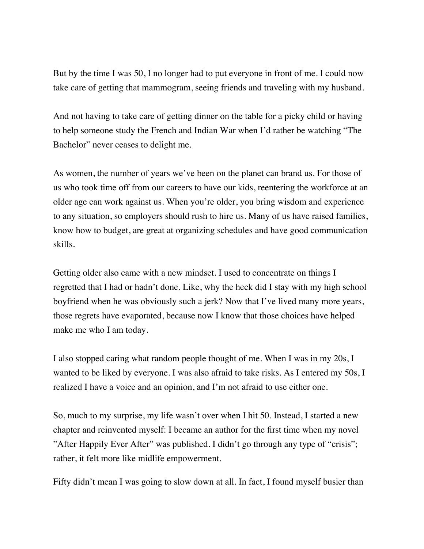But by the time I was 50, I no longer had to put everyone in front of me. I could now take care of getting that mammogram, seeing friends and traveling with my husband.

And not having to take care of getting dinner on the table for a picky child or having to help someone study the French and Indian War when I'd rather be watching "The Bachelor" never ceases to delight me.

As women, the number of years we've been on the planet can brand us. For those of us who took time off from our careers to have our kids, reentering the workforce at an older age can work against us. When you're older, you bring wisdom and experience to any situation, so employers should rush to hire us. Many of us have raised families, know how to budget, are great at organizing schedules and have good communication skills.

Getting older also came with a new mindset. I used to concentrate on things I regretted that I had or hadn't done. Like, why the heck did I stay with my high school boyfriend when he was obviously such a jerk? Now that I've lived many more years, those regrets have evaporated, because now I know that those choices have helped make me who I am today.

I also stopped caring what random people thought of me. When I was in my 20s, I wanted to be liked by everyone. I was also afraid to take risks. As I entered my 50s, I realized I have a voice and an opinion, and I'm not afraid to use either one.

So, much to my surprise, my life wasn't over when I hit 50. Instead, I started a new chapter and reinvented myself: I became an author for the first time when my novel "After Happily Ever After" was published. I didn't go through any type of "crisis"; rather, it felt more like midlife empowerment.

Fifty didn't mean I was going to slow down at all. In fact, I found myself busier than